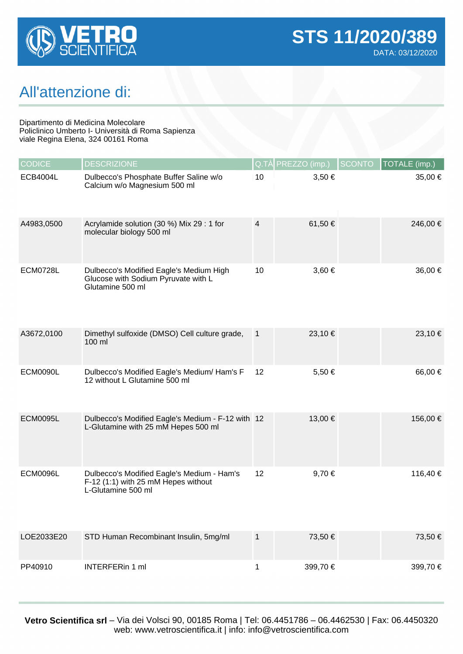

## All'attenzione di:

Dipartimento di Medicina Molecolare Policlinico Umberto I- Università di Roma Sapienza viale Regina Elena, 324 00161 Roma

| <b>CODICE</b>   | <b>DESCRIZIONE</b>                                                                                      | Q.TÀ           | PREZZO (imp.) | <b>SCONTO</b><br>TOTALE (imp.) |
|-----------------|---------------------------------------------------------------------------------------------------------|----------------|---------------|--------------------------------|
| <b>ECB4004L</b> | Dulbecco's Phosphate Buffer Saline w/o<br>Calcium w/o Magnesium 500 ml                                  | 10             | 3,50 €        | 35,00 €                        |
| A4983,0500      | Acrylamide solution (30 %) Mix 29 : 1 for<br>molecular biology 500 ml                                   | $\overline{4}$ | 61,50 €       | 246,00 €                       |
| <b>ECM0728L</b> | Dulbecco's Modified Eagle's Medium High<br>Glucose with Sodium Pyruvate with L<br>Glutamine 500 ml      | 10             | 3,60 €        | 36,00 €                        |
| A3672,0100      | Dimethyl sulfoxide (DMSO) Cell culture grade,<br>100 ml                                                 | $\mathbf{1}$   | 23,10 €       | 23,10 €                        |
| <b>ECM0090L</b> | Dulbecco's Modified Eagle's Medium/ Ham's F<br>12 without L Glutamine 500 ml                            | 12             | 5,50€         | 66,00 €                        |
| <b>ECM0095L</b> | Dulbecco's Modified Eagle's Medium - F-12 with 12<br>L-Glutamine with 25 mM Hepes 500 ml                |                | 13,00 €       | 156,00 €                       |
| <b>ECM0096L</b> | Dulbecco's Modified Eagle's Medium - Ham's<br>F-12 (1:1) with 25 mM Hepes without<br>L-Glutamine 500 ml | 12             | 9,70€         | 116,40 €                       |
| LOE2033E20      | STD Human Recombinant Insulin, 5mg/ml                                                                   | $\mathbf{1}$   | 73,50 €       | 73,50 €                        |
| PP40910         | <b>INTERFERin 1 ml</b>                                                                                  | 1              | 399,70€       | 399,70€                        |